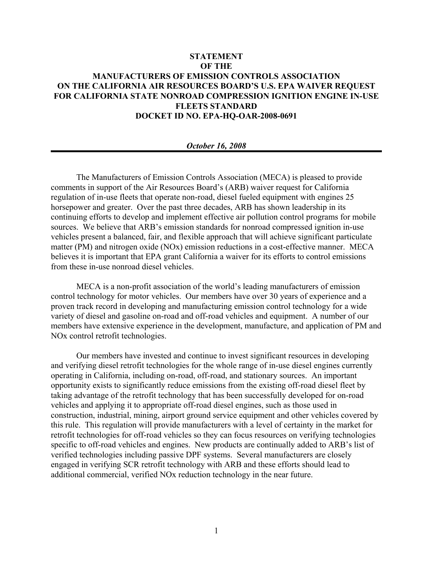## **STATEMENT OF THE MANUFACTURERS OF EMISSION CONTROLS ASSOCIATION ON THE CALIFORNIA AIR RESOURCES BOARD'S U.S. EPA WAIVER REQUEST FOR CALIFORNIA STATE NONROAD COMPRESSION IGNITION ENGINE IN-USE FLEETS STANDARD DOCKET ID NO. EPA-HQ-OAR-2008-0691**

## *October 16, 2008*

The Manufacturers of Emission Controls Association (MECA) is pleased to provide comments in support of the Air Resources Board's (ARB) waiver request for California regulation of in-use fleets that operate non-road, diesel fueled equipment with engines 25 horsepower and greater. Over the past three decades, ARB has shown leadership in its continuing efforts to develop and implement effective air pollution control programs for mobile sources. We believe that ARB's emission standards for nonroad compressed ignition in-use vehicles present a balanced, fair, and flexible approach that will achieve significant particulate matter (PM) and nitrogen oxide (NOx) emission reductions in a cost-effective manner. MECA believes it is important that EPA grant California a waiver for its efforts to control emissions from these in-use nonroad diesel vehicles.

MECA is a non-profit association of the world's leading manufacturers of emission control technology for motor vehicles. Our members have over 30 years of experience and a proven track record in developing and manufacturing emission control technology for a wide variety of diesel and gasoline on-road and off-road vehicles and equipment. A number of our members have extensive experience in the development, manufacture, and application of PM and NOx control retrofit technologies.

Our members have invested and continue to invest significant resources in developing and verifying diesel retrofit technologies for the whole range of in-use diesel engines currently operating in California, including on-road, off-road, and stationary sources. An important opportunity exists to significantly reduce emissions from the existing off-road diesel fleet by taking advantage of the retrofit technology that has been successfully developed for on-road vehicles and applying it to appropriate off-road diesel engines, such as those used in construction, industrial, mining, airport ground service equipment and other vehicles covered by this rule. This regulation will provide manufacturers with a level of certainty in the market for retrofit technologies for off-road vehicles so they can focus resources on verifying technologies specific to off-road vehicles and engines. New products are continually added to ARB's list of verified technologies including passive DPF systems. Several manufacturers are closely engaged in verifying SCR retrofit technology with ARB and these efforts should lead to additional commercial, verified NOx reduction technology in the near future.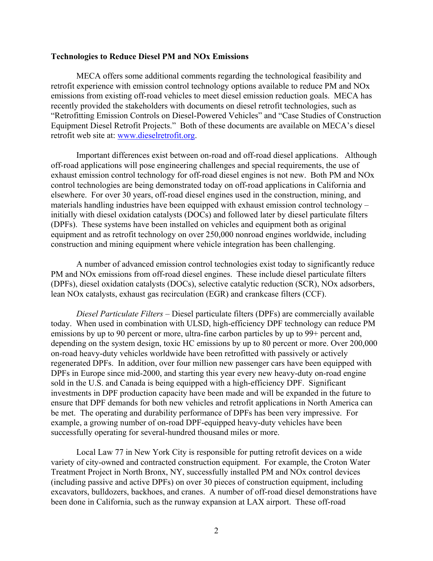## **Technologies to Reduce Diesel PM and NOx Emissions**

MECA offers some additional comments regarding the technological feasibility and retrofit experience with emission control technology options available to reduce PM and NOx emissions from existing off-road vehicles to meet diesel emission reduction goals. MECA has recently provided the stakeholders with documents on diesel retrofit technologies, such as "Retrofitting Emission Controls on Diesel-Powered Vehicles" and "Case Studies of Construction Equipment Diesel Retrofit Projects." Both of these documents are available on MECA's diesel retrofit web site at: www.dieselretrofit.org.

Important differences exist between on-road and off-road diesel applications. Although off-road applications will pose engineering challenges and special requirements, the use of exhaust emission control technology for off-road diesel engines is not new. Both PM and NOx control technologies are being demonstrated today on off-road applications in California and elsewhere.For over 30 years, off-road diesel engines used in the construction, mining, and materials handling industries have been equipped with exhaust emission control technology – initially with diesel oxidation catalysts (DOCs) and followed later by diesel particulate filters (DPFs). These systems have been installed on vehicles and equipment both as original equipment and as retrofit technology on over 250,000 nonroad engines worldwide, including construction and mining equipment where vehicle integration has been challenging.

A number of advanced emission control technologies exist today to significantly reduce PM and NOx emissions from off-road diesel engines. These include diesel particulate filters (DPFs), diesel oxidation catalysts (DOCs), selective catalytic reduction (SCR), NOx adsorbers, lean NOx catalysts, exhaust gas recirculation (EGR) and crankcase filters (CCF).

*Diesel Particulate Filters –* Diesel particulate filters (DPFs) are commercially available today. When used in combination with ULSD, high-efficiency DPF technology can reduce PM emissions by up to 90 percent or more, ultra-fine carbon particles by up to 99+ percent and, depending on the system design, toxic HC emissions by up to 80 percent or more. Over 200,000 on-road heavy-duty vehicles worldwide have been retrofitted with passively or actively regenerated DPFs. In addition, over four million new passenger cars have been equipped with DPFs in Europe since mid-2000, and starting this year every new heavy-duty on-road engine sold in the U.S. and Canada is being equipped with a high-efficiency DPF. Significant investments in DPF production capacity have been made and will be expanded in the future to ensure that DPF demands for both new vehicles and retrofit applications in North America can be met. The operating and durability performance of DPFs has been very impressive. For example, a growing number of on-road DPF-equipped heavy-duty vehicles have been successfully operating for several-hundred thousand miles or more.

Local Law 77 in New York City is responsible for putting retrofit devices on a wide variety of city-owned and contracted construction equipment. For example, the Croton Water Treatment Project in North Bronx, NY, successfully installed PM and NOx control devices (including passive and active DPFs) on over 30 pieces of construction equipment, including excavators, bulldozers, backhoes, and cranes. A number of off-road diesel demonstrations have been done in California, such as the runway expansion at LAX airport. These off-road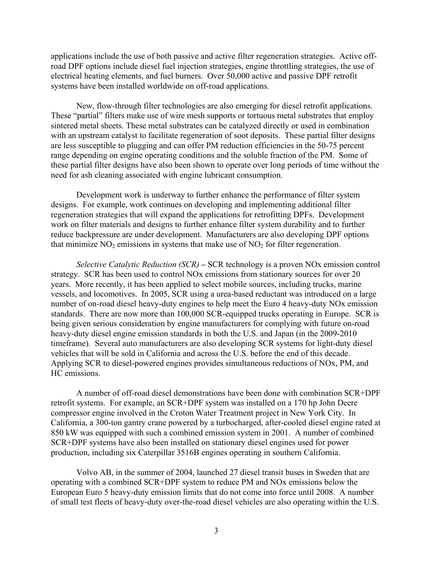applications include the use of both passive and active filter regeneration strategies. Active offroad DPF options include diesel fuel injection strategies, engine throttling strategies, the use of electrical heating elements, and fuel burners. Over 50,000 active and passive DPF retrofit systems have been installed worldwide on off-road applications.

New, flow-through filter technologies are also emerging for diesel retrofit applications. These "partial" filters make use of wire mesh supports or tortuous metal substrates that employ sintered metal sheets. These metal substrates can be catalyzed directly or used in combination with an upstream catalyst to facilitate regeneration of soot deposits. These partial filter designs are less susceptible to plugging and can offer PM reduction efficiencies in the 50-75 percent range depending on engine operating conditions and the soluble fraction of the PM. Some of these partial filter designs have also been shown to operate over long periods of time without the need for ash cleaning associated with engine lubricant consumption.

Development work is underway to further enhance the performance of filter system designs. For example, work continues on developing and implementing additional filter regeneration strategies that will expand the applications for retrofitting DPFs. Development work on filter materials and designs to further enhance filter system durability and to further reduce backpressure are under development. Manufacturers are also developing DPF options that minimize  $NO<sub>2</sub>$  emissions in systems that make use of  $NO<sub>2</sub>$  for filter regeneration.

*Selective Catalytic Reduction (SCR)* **–** SCR technology is a proven NOx emission control strategy. SCR has been used to control NOx emissions from stationary sources for over 20 years. More recently, it has been applied to select mobile sources, including trucks, marine vessels, and locomotives. In 2005, SCR using a urea-based reductant was introduced on a large number of on-road diesel heavy-duty engines to help meet the Euro 4 heavy-duty NOx emission standards. There are now more than 100,000 SCR-equipped trucks operating in Europe. SCR is being given serious consideration by engine manufacturers for complying with future on-road heavy-duty diesel engine emission standards in both the U.S. and Japan (in the 2009-2010 timeframe). Several auto manufacturers are also developing SCR systems for light-duty diesel vehicles that will be sold in California and across the U.S. before the end of this decade. Applying SCR to diesel-powered engines provides simultaneous reductions of NOx, PM, and HC emissions.

A number of off-road diesel demonstrations have been done with combination SCR+DPF retrofit systems. For example, an SCR+DPF system was installed on a 170 hp John Deere compressor engine involved in the Croton Water Treatment project in New York City. In California, a 300-ton gantry crane powered by a turbocharged, after-cooled diesel engine rated at 850 kW was equipped with such a combined emission system in 2001. A number of combined SCR+DPF systems have also been installed on stationary diesel engines used for power production, including six Caterpillar 3516B engines operating in southern California.

Volvo AB, in the summer of 2004, launched 27 diesel transit buses in Sweden that are operating with a combined SCR+DPF system to reduce PM and NOx emissions below the European Euro 5 heavy-duty emission limits that do not come into force until 2008. A number of small test fleets of heavy-duty over-the-road diesel vehicles are also operating within the U.S.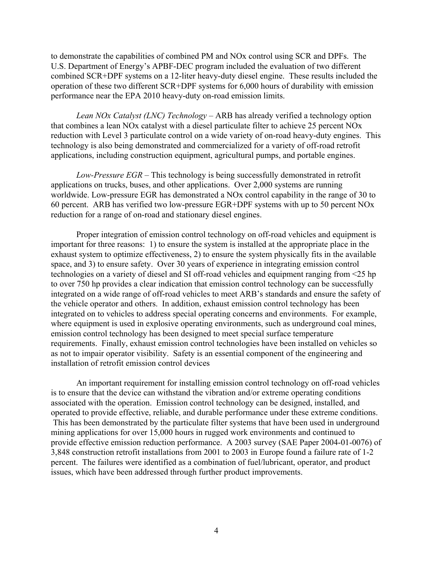to demonstrate the capabilities of combined PM and NOx control using SCR and DPFs. The U.S. Department of Energy's APBF-DEC program included the evaluation of two different combined SCR+DPF systems on a 12-liter heavy-duty diesel engine. These results included the operation of these two different SCR+DPF systems for 6,000 hours of durability with emission performance near the EPA 2010 heavy-duty on-road emission limits.

*Lean NOx Catalyst (LNC) Technology* – ARB has already verified a technology option that combines a lean NOx catalyst with a diesel particulate filter to achieve 25 percent NOx reduction with Level 3 particulate control on a wide variety of on-road heavy-duty engines.This technology is also being demonstrated and commercialized for a variety of off-road retrofit applications, including construction equipment, agricultural pumps, and portable engines.

*Low-Pressure EGR* – This technology is being successfully demonstrated in retrofit applications on trucks, buses, and other applications. Over 2,000 systems are running worldwide. Low-pressure EGR has demonstrated a NOx control capability in the range of 30 to 60 percent. ARB has verified two low-pressure EGR+DPF systems with up to 50 percent NOx reduction for a range of on-road and stationary diesel engines.

Proper integration of emission control technology on off-road vehicles and equipment is important for three reasons: 1) to ensure the system is installed at the appropriate place in the exhaust system to optimize effectiveness, 2) to ensure the system physically fits in the available space, and 3) to ensure safety. Over 30 years of experience in integrating emission control technologies on a variety of diesel and SI off-road vehicles and equipment ranging from <25 hp to over 750 hp provides a clear indication that emission control technology can be successfully integrated on a wide range of off-road vehicles to meet ARB's standards and ensure the safety of the vehicle operator and others. In addition, exhaust emission control technology has been integrated on to vehicles to address special operating concerns and environments. For example, where equipment is used in explosive operating environments, such as underground coal mines, emission control technology has been designed to meet special surface temperature requirements. Finally, exhaust emission control technologies have been installed on vehicles so as not to impair operator visibility. Safety is an essential component of the engineering and installation of retrofit emission control devices

An important requirement for installing emission control technology on off-road vehicles is to ensure that the device can withstand the vibration and/or extreme operating conditions associated with the operation. Emission control technology can be designed, installed, and operated to provide effective, reliable, and durable performance under these extreme conditions. This has been demonstrated by the particulate filter systems that have been used in underground mining applications for over 15,000 hours in rugged work environments and continued to provide effective emission reduction performance. A 2003 survey (SAE Paper 2004-01-0076) of 3,848 construction retrofit installations from 2001 to 2003 in Europe found a failure rate of 1-2 percent. The failures were identified as a combination of fuel/lubricant, operator, and product issues, which have been addressed through further product improvements.